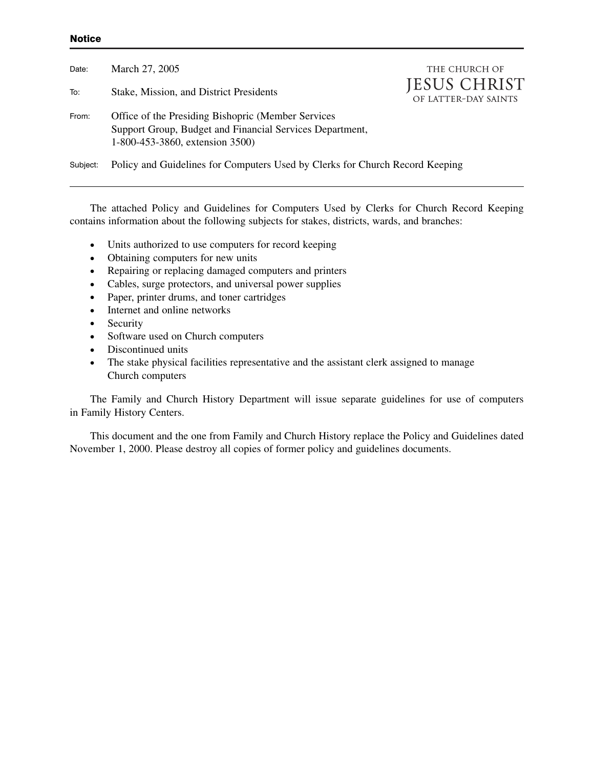#### **Notice**

| Date:    | March 27, 2005                                                                                                                                     | THE CHURCH OF                               |
|----------|----------------------------------------------------------------------------------------------------------------------------------------------------|---------------------------------------------|
| To:      | Stake, Mission, and District Presidents                                                                                                            | <b>JESUS CHRIST</b><br>OF LATTER-DAY SAINTS |
| From:    | Office of the Presiding Bishopric (Member Services)<br>Support Group, Budget and Financial Services Department,<br>1-800-453-3860, extension 3500) |                                             |
| Subject: | Policy and Guidelines for Computers Used by Clerks for Church Record Keeping                                                                       |                                             |

The attached Policy and Guidelines for Computers Used by Clerks for Church Record Keeping contains information about the following subjects for stakes, districts, wards, and branches:

- Units authorized to use computers for record keeping
- Obtaining computers for new units<br>• Repairing or replacing damaged com
- Repairing or replacing damaged computers and printers
- Cables, surge protectors, and universal power supplies
- Paper, printer drums, and toner cartridges
- Internet and online networks
- Security
- Software used on Church computers
- Discontinued units
- The stake physical facilities representative and the assistant clerk assigned to manage Church computers

The Family and Church History Department will issue separate guidelines for use of computers in Family History Centers.

This document and the one from Family and Church History replace the Policy and Guidelines dated November 1, 2000. Please destroy all copies of former policy and guidelines documents.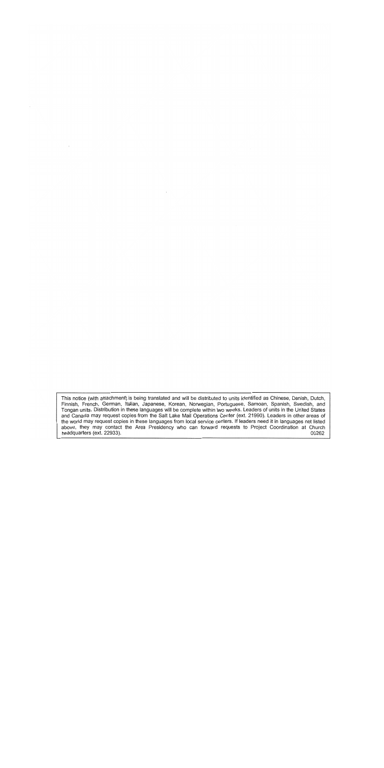This notice (with attachment) is being translated and will be distributed to units identified as Chinese, Danish, Dutch, Finnish, French, German, Italian, Japanese, Korean, Norwegian, Portuguese, Samoan, Spanish, Swedish, and Tongan units. Distribution in these languages will be complete within two weeks. Leaders of units in the United States and Canada may request copies from the Salt Lake Mail Operations Center (ext. 21990). Leaders in other the world may request copies in these languages from local service centers. If leaders need it in languages not listed above, they may contact the Area Presidency who can forward requests to Project Coordination at Church headquarters (ext. 22933). 00262

 $\lambda$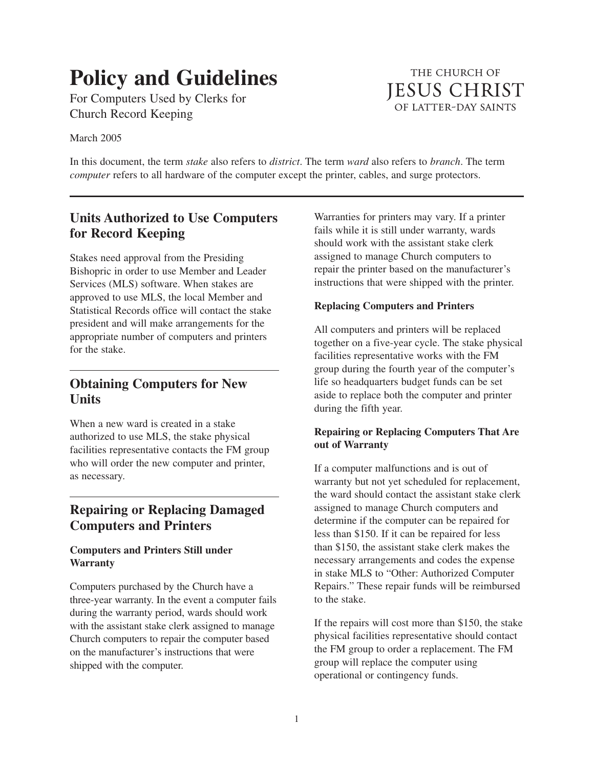# **Policy and Guidelines**

For Computers Used by Clerks for Church Record Keeping

March 2005

In this document, the term *stake* also refers to *district*. The term *ward* also refers to *branch*. The term *computer* refers to all hardware of the computer except the printer, cables, and surge protectors.

# **Units Authorized to Use Computers for Record Keeping**

Stakes need approval from the Presiding Bishopric in order to use Member and Leader Services (MLS) software. When stakes are approved to use MLS, the local Member and Statistical Records office will contact the stake president and will make arrangements for the appropriate number of computers and printers for the stake.

## **Obtaining Computers for New Units**

When a new ward is created in a stake authorized to use MLS, the stake physical facilities representative contacts the FM group who will order the new computer and printer, as necessary.

# **Repairing or Replacing Damaged Computers and Printers**

## **Computers and Printers Still under Warranty**

Computers purchased by the Church have a three-year warranty. In the event a computer fails during the warranty period, wards should work with the assistant stake clerk assigned to manage Church computers to repair the computer based on the manufacturer's instructions that were shipped with the computer.

Warranties for printers may vary. If a printer fails while it is still under warranty, wards should work with the assistant stake clerk assigned to manage Church computers to repair the printer based on the manufacturer's instructions that were shipped with the printer.

## **Replacing Computers and Printers**

All computers and printers will be replaced together on a five-year cycle. The stake physical facilities representative works with the FM group during the fourth year of the computer's life so headquarters budget funds can be set aside to replace both the computer and printer during the fifth year.

## **Repairing or Replacing Computers That Are out of Warranty**

If a computer malfunctions and is out of warranty but not yet scheduled for replacement. the ward should contact the assistant stake clerk assigned to manage Church computers and determine if the computer can be repaired for less than \$150. If it can be repaired for less than \$150, the assistant stake clerk makes the necessary arrangements and codes the expense in stake MLS to "Other: Authorized Computer Repairs." These repair funds will be reimbursed to the stake.

If the repairs will cost more than \$150, the stake physical facilities representative should contact the FM group to order a replacement. The FM group will replace the computer using operational or contingency funds.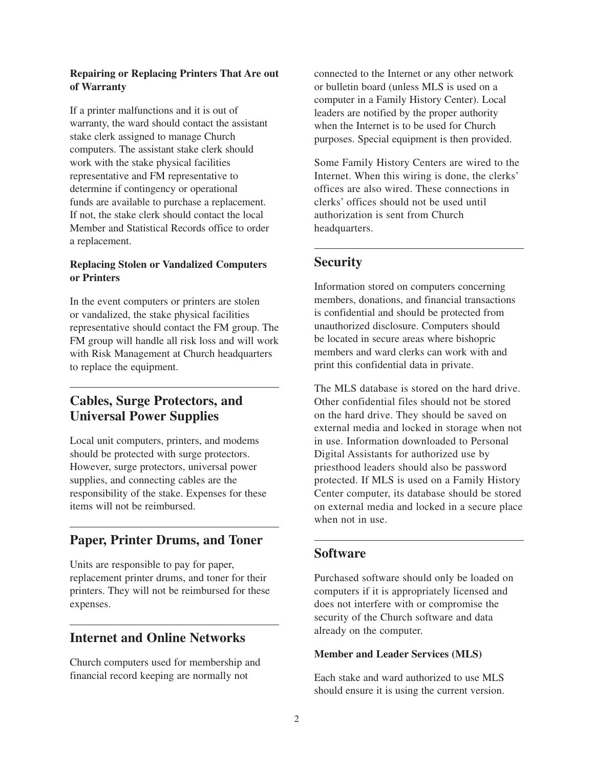#### **Repairing or Replacing Printers That Are out of Warranty**

If a printer malfunctions and it is out of warranty, the ward should contact the assistant stake clerk assigned to manage Church computers. The assistant stake clerk should work with the stake physical facilities representative and FM representative to determine if contingency or operational funds are available to purchase a replacement. If not, the stake clerk should contact the local Member and Statistical Records office to order a replacement.

## **Replacing Stolen or Vandalized Computers or Printers**

In the event computers or printers are stolen or vandalized, the stake physical facilities representative should contact the FM group. The FM group will handle all risk loss and will work with Risk Management at Church headquarters to replace the equipment.

# **Cables, Surge Protectors, and Universal Power Supplies**

Local unit computers, printers, and modems should be protected with surge protectors. However, surge protectors, universal power supplies, and connecting cables are the responsibility of the stake. Expenses for these items will not be reimbursed.

# **Paper, Printer Drums, and Toner**

Units are responsible to pay for paper, replacement printer drums, and toner for their printers. They will not be reimbursed for these expenses.

## **Internet and Online Networks**

Church computers used for membership and financial record keeping are normally not

connected to the Internet or any other network or bulletin board (unless MLS is used on a computer in a Family History Center). Local leaders are notified by the proper authority when the Internet is to be used for Church purposes. Special equipment is then provided.

Some Family History Centers are wired to the Internet. When this wiring is done, the clerks' offices are also wired. These connections in clerks' offices should not be used until authorization is sent from Church headquarters.

## **Security**

Information stored on computers concerning members, donations, and financial transactions is confidential and should be protected from unauthorized disclosure. Computers should be located in secure areas where bishopric members and ward clerks can work with and print this confidential data in private.

The MLS database is stored on the hard drive. Other confidential files should not be stored on the hard drive. They should be saved on external media and locked in storage when not in use. Information downloaded to Personal Digital Assistants for authorized use by priesthood leaders should also be password protected. If MLS is used on a Family History Center computer, its database should be stored on external media and locked in a secure place when not in use.

## **Software**

Purchased software should only be loaded on computers if it is appropriately licensed and does not interfere with or compromise the security of the Church software and data already on the computer.

#### **Member and Leader Services (MLS)**

Each stake and ward authorized to use MLS should ensure it is using the current version.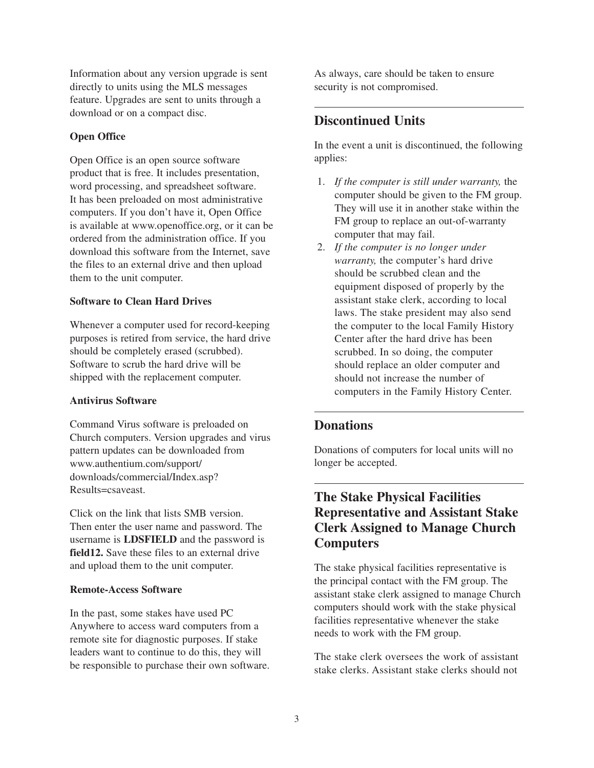Information about any version upgrade is sent directly to units using the MLS messages feature. Upgrades are sent to units through a download or on a compact disc.

## **Open Office**

Open Office is an open source software product that is free. It includes presentation, word processing, and spreadsheet software. It has been preloaded on most administrative computers. If you don't have it, Open Office is available at www.openoffice.org, or it can be ordered from the administration office. If you download this software from the Internet, save the files to an external drive and then upload them to the unit computer.

### **Software to Clean Hard Drives**

Whenever a computer used for record-keeping purposes is retired from service, the hard drive should be completely erased (scrubbed). Software to scrub the hard drive will be shipped with the replacement computer.

#### **Antivirus Software**

Command Virus software is preloaded on Church computers. Version upgrades and virus pattern updates can be downloaded from www.authentium.com/support/ downloads/commercial/Index.asp? Results=csaveast.

Click on the link that lists SMB version. Then enter the user name and password. The username is **LDSFIELD** and the password is **field12.** Save these files to an external drive and upload them to the unit computer.

#### **Remote-Access Software**

In the past, some stakes have used PC Anywhere to access ward computers from a remote site for diagnostic purposes. If stake leaders want to continue to do this, they will be responsible to purchase their own software. As always, care should be taken to ensure security is not compromised.

## **Discontinued Units**

In the event a unit is discontinued, the following applies:

- 1. *If the computer is still under warranty,* the computer should be given to the FM group. They will use it in another stake within the FM group to replace an out-of-warranty computer that may fail.
- 2. *If the computer is no longer under warranty,* the computer's hard drive should be scrubbed clean and the equipment disposed of properly by the assistant stake clerk, according to local laws. The stake president may also send the computer to the local Family History Center after the hard drive has been scrubbed. In so doing, the computer should replace an older computer and should not increase the number of computers in the Family History Center.

# **Donations**

Donations of computers for local units will no longer be accepted.

# **The Stake Physical Facilities Representative and Assistant Stake Clerk Assigned to Manage Church Computers**

The stake physical facilities representative is the principal contact with the FM group. The assistant stake clerk assigned to manage Church computers should work with the stake physical facilities representative whenever the stake needs to work with the FM group.

The stake clerk oversees the work of assistant stake clerks. Assistant stake clerks should not